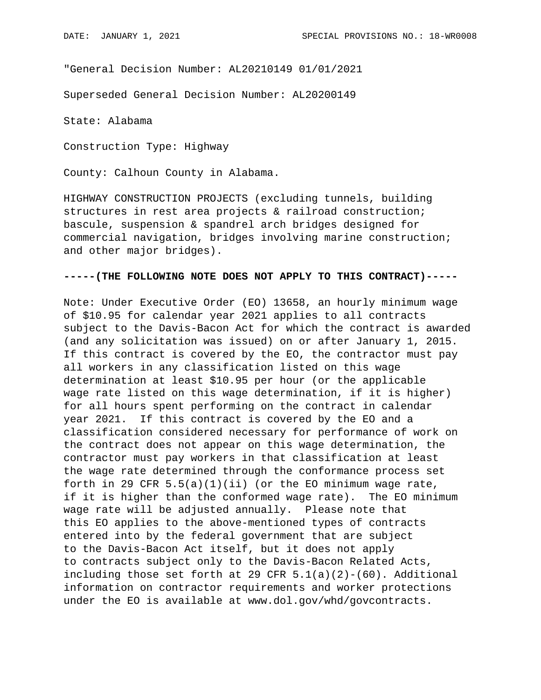"General Decision Number: AL20210149 01/01/2021

Superseded General Decision Number: AL20200149

State: Alabama

Construction Type: Highway

County: Calhoun County in Alabama.

HIGHWAY CONSTRUCTION PROJECTS (excluding tunnels, building structures in rest area projects & railroad construction; bascule, suspension & spandrel arch bridges designed for commercial navigation, bridges involving marine construction; and other major bridges).

## **-----(THE FOLLOWING NOTE DOES NOT APPLY TO THIS CONTRACT)-----**

Note: Under Executive Order (EO) 13658, an hourly minimum wage of \$10.95 for calendar year 2021 applies to all contracts subject to the Davis-Bacon Act for which the contract is awarded (and any solicitation was issued) on or after January 1, 2015. If this contract is covered by the EO, the contractor must pay all workers in any classification listed on this wage determination at least \$10.95 per hour (or the applicable wage rate listed on this wage determination, if it is higher) for all hours spent performing on the contract in calendar year 2021. If this contract is covered by the EO and a classification considered necessary for performance of work on the contract does not appear on this wage determination, the contractor must pay workers in that classification at least the wage rate determined through the conformance process set forth in 29 CFR  $5.5(a)(1)(ii)$  (or the EO minimum wage rate, if it is higher than the conformed wage rate). The EO minimum wage rate will be adjusted annually. Please note that this EO applies to the above-mentioned types of contracts entered into by the federal government that are subject to the Davis-Bacon Act itself, but it does not apply to contracts subject only to the Davis-Bacon Related Acts, including those set forth at 29 CFR  $5.1(a)(2)-(60)$ . Additional information on contractor requirements and worker protections under the EO is available at www.dol.gov/whd/govcontracts.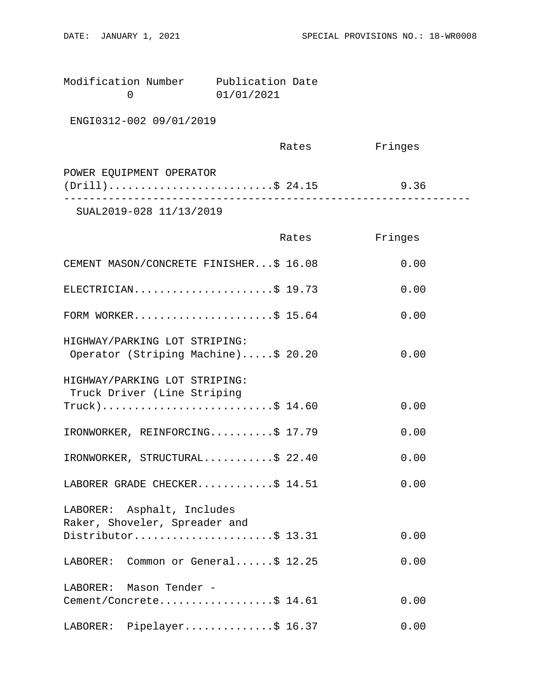| Modification Number | Publication Date |  |
|---------------------|------------------|--|
|                     | 01/01/2021       |  |

ENGI0312-002 09/01/2019

|                                                | Rates | Fringes |  |
|------------------------------------------------|-------|---------|--|
| POWER EQUIPMENT OPERATOR<br>$(Drill)$ \$ 24.15 |       | 9.36    |  |
| SUAL2019-028 11/13/2019                        |       |         |  |

|                                                                                    | Rates | Fringes |
|------------------------------------------------------------------------------------|-------|---------|
| CEMENT MASON/CONCRETE FINISHER\$ 16.08                                             |       | 0.00    |
| ELECTRICIAN\$ 19.73                                                                |       | 0.00    |
| FORM WORKER\$ 15.64                                                                |       | 0.00    |
| HIGHWAY/PARKING LOT STRIPING:<br>Operator (Striping Machine)\$ 20.20               |       | 0.00    |
| HIGHWAY/PARKING LOT STRIPING:<br>Truck Driver (Line Striping<br>$True k)$ \$ 14.60 |       | 0.00    |
| IRONWORKER, REINFORCING\$ 17.79                                                    |       | 0.00    |
| IRONWORKER, STRUCTURAL\$ 22.40                                                     |       | 0.00    |
| LABORER GRADE CHECKER\$ 14.51                                                      |       | 0.00    |
| LABORER: Asphalt, Includes<br>Raker, Shoveler, Spreader and<br>Distributor\$ 13.31 |       | 0.00    |
| LABORER: Common or General\$ 12.25                                                 |       | 0.00    |
| LABORER: Mason Tender -<br>Cement/Concrete\$ 14.61                                 |       | 0.00    |
| LABORER: Pipelayer\$ 16.37                                                         |       | 0.00    |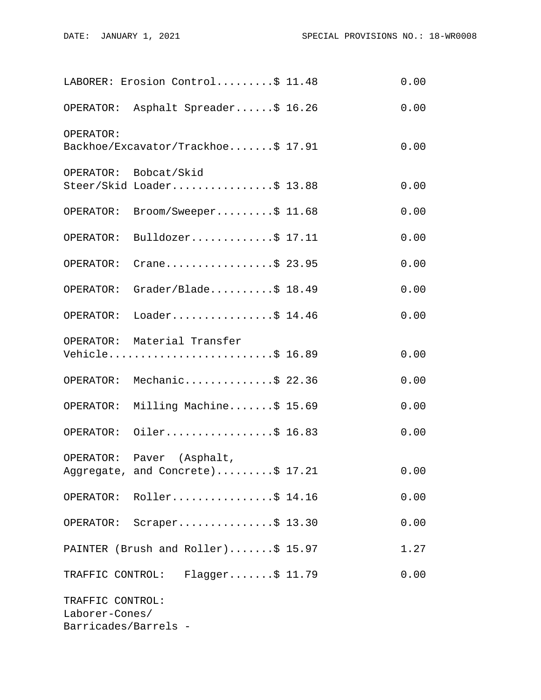|                                                            | LABORER: Erosion Control\$ 11.48                              | 0.00 |
|------------------------------------------------------------|---------------------------------------------------------------|------|
|                                                            | OPERATOR: Asphalt Spreader\$ 16.26                            | 0.00 |
| OPERATOR:                                                  | Backhoe/Excavator/Trackhoe\$ 17.91                            | 0.00 |
|                                                            | OPERATOR: Bobcat/Skid<br>Steer/Skid Loader\$ 13.88            | 0.00 |
| OPERATOR:                                                  | $\texttt{Broom}/\texttt{Sweeper} \dots \dots \dots \$ 11.68$  | 0.00 |
| OPERATOR:                                                  | Bulldozer\$ $17.11$                                           | 0.00 |
| OPERATOR:                                                  | Crane\$ 23.95                                                 | 0.00 |
| OPERATOR:                                                  | $Grader/Blade \ldots$ \$ 18.49                                | 0.00 |
|                                                            | OPERATOR: Loader\$ 14.46                                      | 0.00 |
|                                                            | OPERATOR: Material Transfer<br>Vehicle\$ 16.89                | 0.00 |
|                                                            | OPERATOR: Mechanic\$ 22.36                                    | 0.00 |
| OPERATOR:                                                  | Milling Machine\$ 15.69                                       | 0.00 |
|                                                            | OPERATOR: Oiler\$ 16.83                                       | 0.00 |
|                                                            | OPERATOR: Paver (Asphalt,<br>Aggregate, and Concrete)\$ 17.21 | 0.00 |
|                                                            | OPERATOR: Roller\$ 14.16                                      | 0.00 |
|                                                            | OPERATOR: Scraper\$ 13.30                                     | 0.00 |
|                                                            | PAINTER (Brush and Roller) $$15.97$                           | 1.27 |
|                                                            | TRAFFIC CONTROL: Flagger\$ 11.79                              | 0.00 |
| TRAFFIC CONTROL:<br>Laborer-Cones/<br>Barricades/Barrels - |                                                               |      |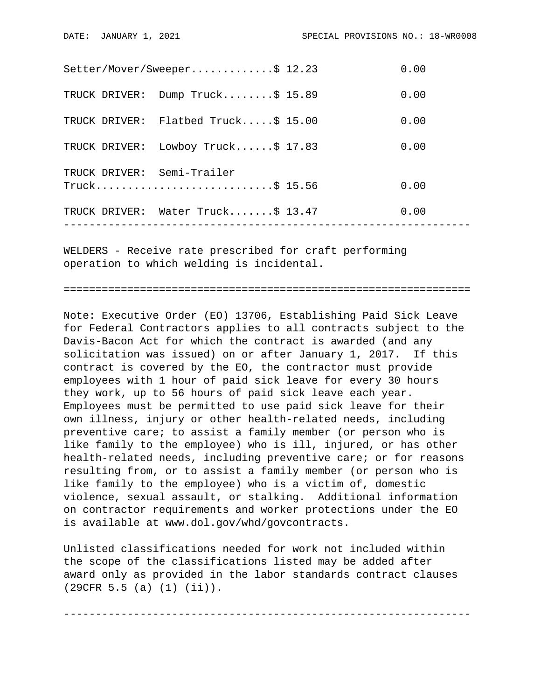|               | TRUCK DRIVER: Water Truck\$ 13.47               | 0.00 |  |
|---------------|-------------------------------------------------|------|--|
|               | TRUCK DRIVER: Semi-Trailer<br>$True k$ \$ 15.56 | 0.00 |  |
|               | TRUCK DRIVER: Lowboy Truck\$ 17.83              | 0.00 |  |
|               | TRUCK DRIVER: Flatbed Truck\$ 15.00             | 0.00 |  |
| TRUCK DRIVER: | Dump Truck\$ 15.89                              | 0.00 |  |
|               | Setter/Mover/Sweeper\$ 12.23                    | 0.00 |  |

WELDERS - Receive rate prescribed for craft performing operation to which welding is incidental.

================================================================

Note: Executive Order (EO) 13706, Establishing Paid Sick Leave for Federal Contractors applies to all contracts subject to the Davis-Bacon Act for which the contract is awarded (and any solicitation was issued) on or after January 1, 2017. If this contract is covered by the EO, the contractor must provide employees with 1 hour of paid sick leave for every 30 hours they work, up to 56 hours of paid sick leave each year. Employees must be permitted to use paid sick leave for their own illness, injury or other health-related needs, including preventive care; to assist a family member (or person who is like family to the employee) who is ill, injured, or has other health-related needs, including preventive care; or for reasons resulting from, or to assist a family member (or person who is like family to the employee) who is a victim of, domestic violence, sexual assault, or stalking. Additional information on contractor requirements and worker protections under the EO is available at www.dol.gov/whd/govcontracts.

Unlisted classifications needed for work not included within the scope of the classifications listed may be added after award only as provided in the labor standards contract clauses (29CFR 5.5 (a) (1) (ii)).

----------------------------------------------------------------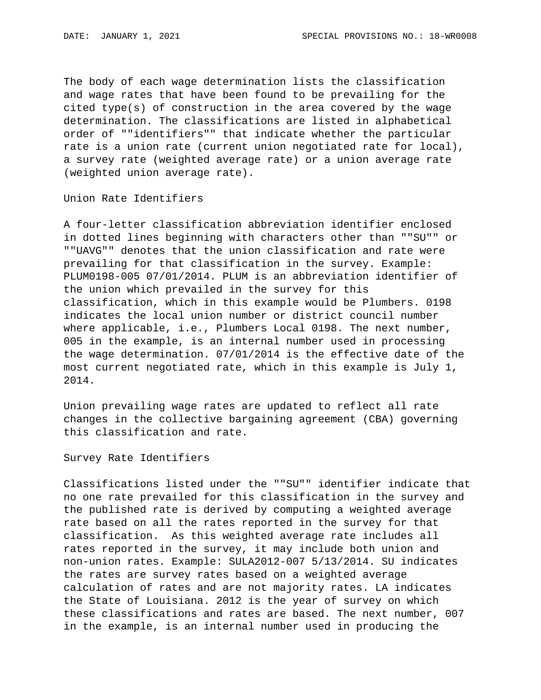The body of each wage determination lists the classification and wage rates that have been found to be prevailing for the cited type(s) of construction in the area covered by the wage determination. The classifications are listed in alphabetical order of ""identifiers"" that indicate whether the particular rate is a union rate (current union negotiated rate for local), a survey rate (weighted average rate) or a union average rate (weighted union average rate).

Union Rate Identifiers

A four-letter classification abbreviation identifier enclosed in dotted lines beginning with characters other than ""SU"" or ""UAVG"" denotes that the union classification and rate were prevailing for that classification in the survey. Example: PLUM0198-005 07/01/2014. PLUM is an abbreviation identifier of the union which prevailed in the survey for this classification, which in this example would be Plumbers. 0198 indicates the local union number or district council number where applicable, i.e., Plumbers Local 0198. The next number, 005 in the example, is an internal number used in processing the wage determination. 07/01/2014 is the effective date of the most current negotiated rate, which in this example is July 1, 2014.

Union prevailing wage rates are updated to reflect all rate changes in the collective bargaining agreement (CBA) governing this classification and rate.

Survey Rate Identifiers

Classifications listed under the ""SU"" identifier indicate that no one rate prevailed for this classification in the survey and the published rate is derived by computing a weighted average rate based on all the rates reported in the survey for that classification. As this weighted average rate includes all rates reported in the survey, it may include both union and non-union rates. Example: SULA2012-007 5/13/2014. SU indicates the rates are survey rates based on a weighted average calculation of rates and are not majority rates. LA indicates the State of Louisiana. 2012 is the year of survey on which these classifications and rates are based. The next number, 007 in the example, is an internal number used in producing the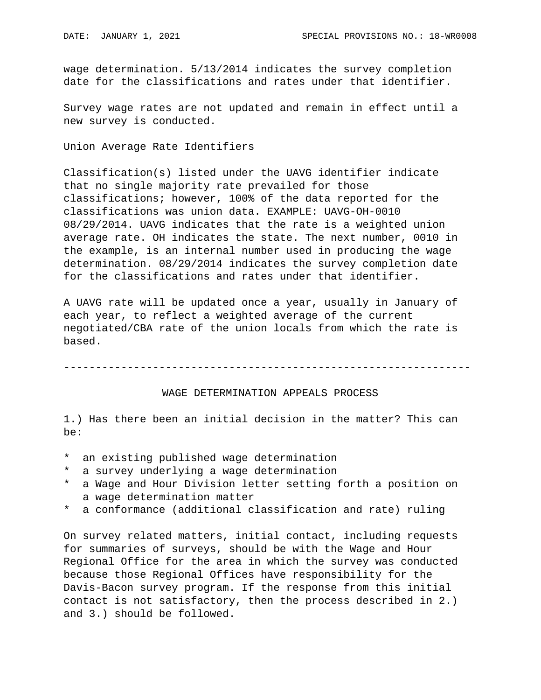wage determination. 5/13/2014 indicates the survey completion date for the classifications and rates under that identifier.

Survey wage rates are not updated and remain in effect until a new survey is conducted.

Union Average Rate Identifiers

Classification(s) listed under the UAVG identifier indicate that no single majority rate prevailed for those classifications; however, 100% of the data reported for the classifications was union data. EXAMPLE: UAVG-OH-0010 08/29/2014. UAVG indicates that the rate is a weighted union average rate. OH indicates the state. The next number, 0010 in the example, is an internal number used in producing the wage determination. 08/29/2014 indicates the survey completion date for the classifications and rates under that identifier.

A UAVG rate will be updated once a year, usually in January of each year, to reflect a weighted average of the current negotiated/CBA rate of the union locals from which the rate is based.

----------------------------------------------------------------

## WAGE DETERMINATION APPEALS PROCESS

1.) Has there been an initial decision in the matter? This can be:

- \* an existing published wage determination
- a survey underlying a wage determination
- \* a Wage and Hour Division letter setting forth a position on a wage determination matter
- \* a conformance (additional classification and rate) ruling

On survey related matters, initial contact, including requests for summaries of surveys, should be with the Wage and Hour Regional Office for the area in which the survey was conducted because those Regional Offices have responsibility for the Davis-Bacon survey program. If the response from this initial contact is not satisfactory, then the process described in 2.) and 3.) should be followed.